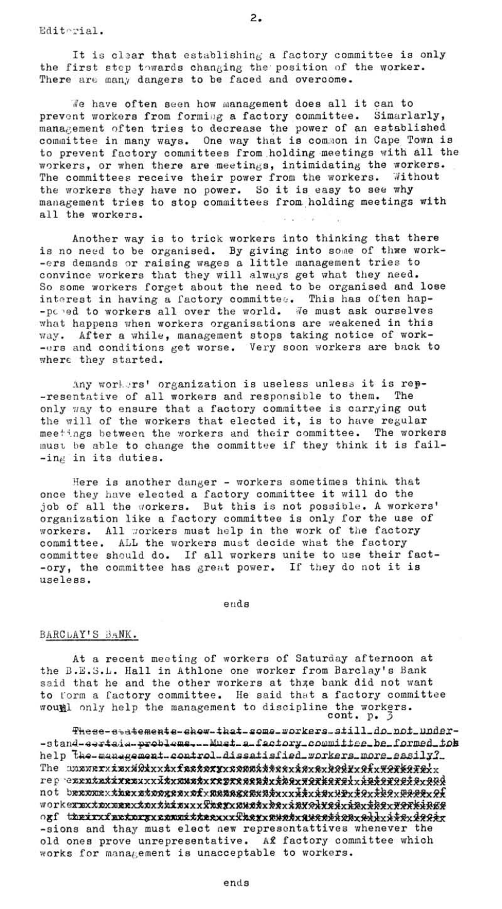Editerial.

It is clear that establishing a factory committee is only the first step towards changing the position of the worker. There are many dangers to be faced and overcome.

We have often seen how management does all it can to prevent workers from forming a factory committee. Simarlarly, management often tries to decrease the power of an established committee in many ways. One way that is common in Cape Town is to prevent factory committees from holding meetings with all the workers, or when there are meetings, intimidating the workers. The committees receive their power from the workers. Without the workers they have no power. So it is easy to see why management tries to stop committees from holding meetings with all the workers.

Another way is to trick workers into thinking that there is no need to be organised. By giving into some of thwe work--ers demands or raising wages a little management tries to convince workers that they will always get what they need. So some workers forget about the need to be organised and lose interest in having a factory committee. This has often hap--pered to workers all over the world. We must ask ourselves what happens when workers organisations are weakened in this way. After a while, management stops taking notice of work--ers and conditions get worse. Very soon workers are back to where they started.

Any workers' organization is useless unless it is rep--resentative of all workers and responsible to them. The only way to ensure that a factory committee is carrying out the will of the workers that elected it, is to have regular meetings between the workers and their committee. The workers must be able to change the committee if they think it is fail--ing in its duties.

Here is another danger - workers sometimes think that once they have elected a factory committee it will do the job of all the workers. But this is not possible. A workers' organization like a factory committee is only for the use of workers. All workers must help in the work of the factory committee. ALL the workers must decide what the factory committee should do. If all workers unite to use their fact--ory, the committee has great power. If they do not it is useless.

ends

## BARCLAY'S BANK.

At a recent meeting of workers of Saturday afternoon at the B.E.S.L. Hall in Athlone one worker from Barclay's Bank said that he and the other workers at thre bank did not want to form a factory committee. He said that a factory committee wound only help the management to discipline the workers.  $\text{cont. } p. 3$ 

These-statements-show-that-some-workers-still-do-not-under--stand-eertaia-problems...Must-a-factory\_committee\_be\_formed\_tob help the-management-control-dissatisfied\_workers\_more\_easily? not berwerk**ierstooreerxofxweaesea**xatxxxktxk@xXxxtQxt&qx<del>@&&xxx</del> ouf treirifretrereren itterikieren Australiereiten elerkitzen -sions and thay must elect new representattives whenever the old ones prove unrepresentative. Af factory committee which works for management is unacceptable to workers.